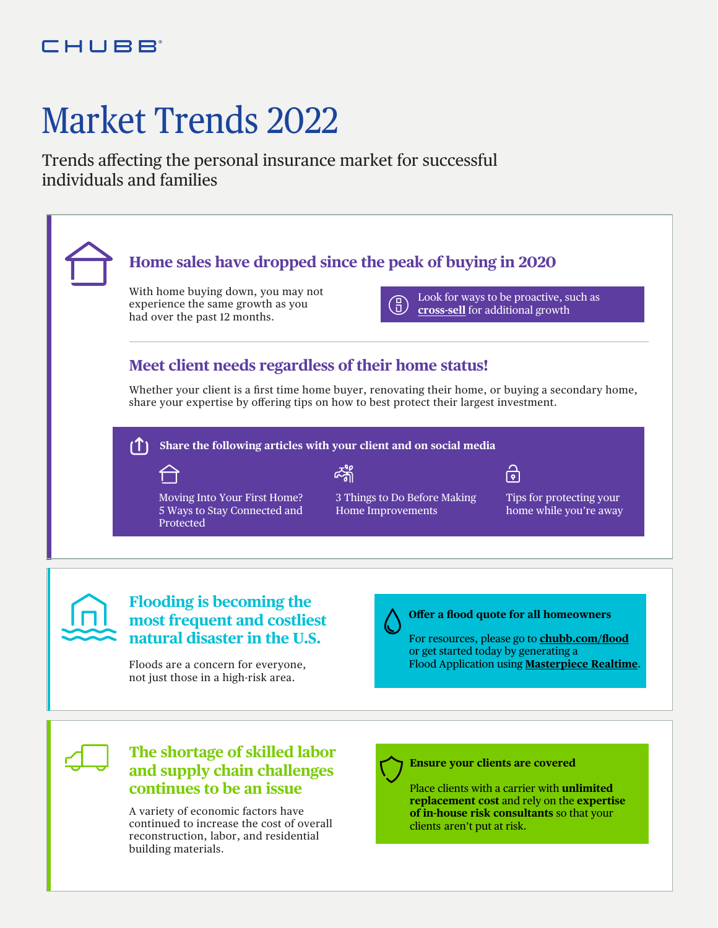# Market Trends 2022

Trends affecting the personal insurance market for successful individuals and families



A variety of economic factors have continued to increase the cost of overall reconstruction, labor, and residential building materials.

**replacement cost** and rely on the **expertise of in-house risk consultants** so that your clients aren't put at risk.